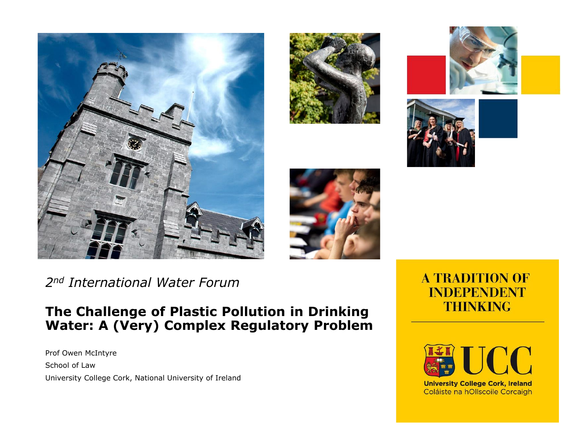









*2nd International Water Forum*

#### **The Challenge of Plastic Pollution in Drinking Water: A (Very) Complex Regulatory Problem**

Prof Owen McIntyre School of Law University College Cork, National University of Ireland

#### **A TRADITION OF INDEPENDENT THINKING**



Coláiste na hOllscoile Corcaigh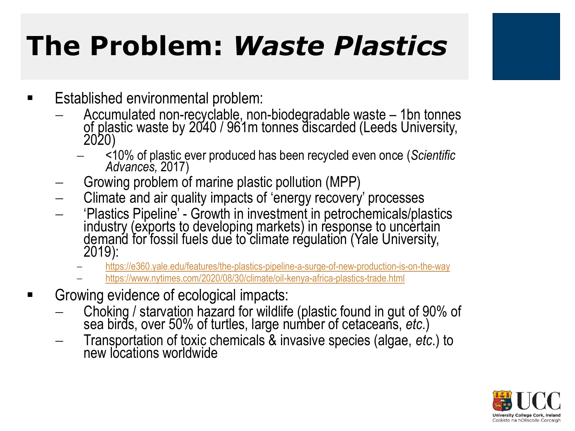# **The Problem:** *Waste Plastics*

- Established environmental problem:
	- − Accumulated non-recyclable, non-biodegradable waste 1bn tonnes of plastic waste by 2040 / 961m tonnes discarded (Leeds University, 2020)
		- − <10% of plastic ever produced has been recycled even once (*Scientific Advances,* 2017)
	- Growing problem of marine plastic pollution (MPP)
	- Climate and air quality impacts of 'energy recovery' processes
	- − 'Plastics Pipeline' Growth in investment in petrochemicals/plastics industry (exports to developing markets) in response to uncertain demand for fossil fuels due to climate regulation (Yale University, 2019):
		- <https://e360.yale.edu/features/the-plastics-pipeline-a-surge-of-new-production-is-on-the-way>
		- − <https://www.nytimes.com/2020/08/30/climate/oil-kenya-africa-plastics-trade.html>
- Growing evidence of ecological impacts:
	- − Choking / starvation hazard for wildlife (plastic found in gut of 90% of sea birds, over 50% of turtles, large number of cetaceans, *etc*.)
	- − Transportation of toxic chemicals & invasive species (algae, *etc*.) to new locations worldwide

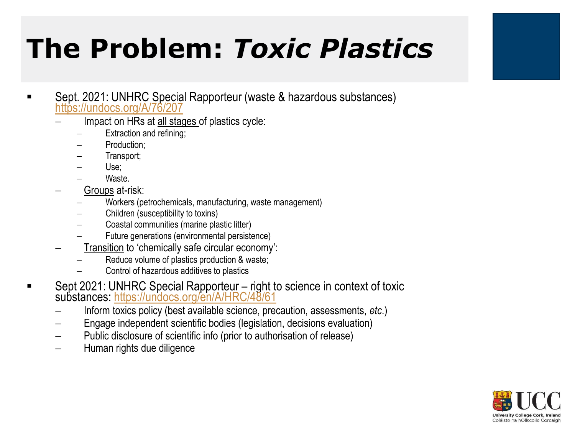# **The Problem:** *Toxic Plastics*

- Sept. 2021: UNHRC Special Rapporteur (waste & hazardous substances) <https://undocs.org/A/76/207>
	- − Impact on HRs at all stages of plastics cycle:
		- Extraction and refining;
		- − Production;
		- − Transport;
		- Use;
		- − Waste.
	- − Groups at-risk:
		- − Workers (petrochemicals, manufacturing, waste management)
		- − Children (susceptibility to toxins)
		- − Coastal communities (marine plastic litter)
		- − Future generations (environmental persistence)
	- − Transition to 'chemically safe circular economy':
		- − Reduce volume of plastics production & waste;
		- − Control of hazardous additives to plastics
- Sept 2021: UNHRC Special Rapporteur right to science in context of toxic substances: <https://undocs.org/en/A/HRC/48/61>
	- − Inform toxics policy (best available science, precaution, assessments, *etc*.)
	- Engage independent scientific bodies (legislation, decisions evaluation)
	- − Public disclosure of scientific info (prior to authorisation of release)
	- − Human rights due diligence

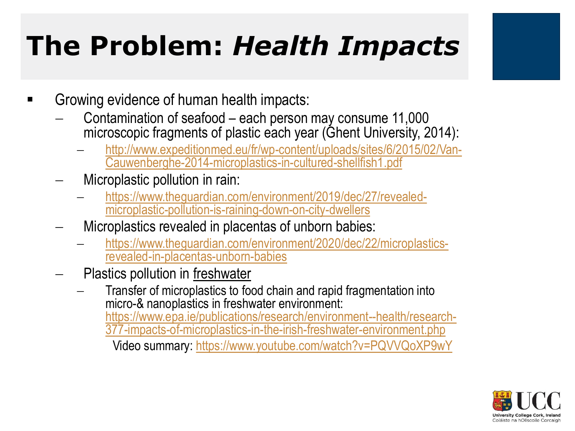# **The Problem:** *Health Impacts*

- Growing evidence of human health impacts:
	- − Contamination of seafood each person may consume 11,000 microscopic fragments of plastic each year (Ghent University, 2014):
		- [http://www.expeditionmed.eu/fr/wp-content/uploads/sites/6/2015/02/Van-](http://www.expeditionmed.eu/fr/wp-content/uploads/sites/6/2015/02/Van-Cauwenberghe-2014-microplastics-in-cultured-shellfish1.pdf)Cauwenberghe-2014-microplastics-in-cultured-shellfish1.pdf
	- − Microplastic pollution in rain:
		- − [https://www.theguardian.com/environment/2019/dec/27/revealed](https://www.theguardian.com/environment/2019/dec/27/revealed-microplastic-pollution-is-raining-down-on-city-dwellers)microplastic-pollution-is-raining-down-on-city-dwellers
	- − Microplastics revealed in placentas of unborn babies:
		- − [https://www.theguardian.com/environment/2020/dec/22/microplastics](https://www.theguardian.com/environment/2020/dec/22/microplastics-revealed-in-placentas-unborn-babies)revealed-in-placentas-unborn-babies
	- Plastics pollution in freshwater
		- Transfer of microplastics to food chain and rapid fragmentation into micro-& nanoplastics in freshwater environment: https://www.epa.ie/publications/research/environment--health/research-[377-impacts-of-microplastics-in-the-irish-freshwater-environment.php](https://www.epa.ie/publications/research/environment--health/research-377-impacts-of-microplastics-in-the-irish-freshwater-environment.php) Video summary:<https://www.youtube.com/watch?v=PQVVQoXP9wY>

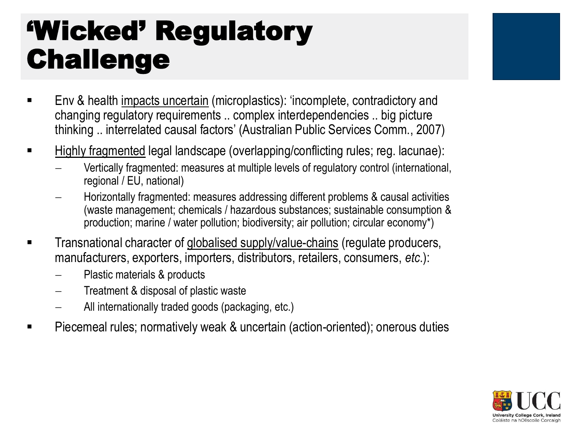### 'Wicked' Regulatory Challenge

- Env & health impacts uncertain (microplastics): 'incomplete, contradictory and changing regulatory requirements .. complex interdependencies .. big picture thinking .. interrelated causal factors' (Australian Public Services Comm., 2007)
- Highly fragmented legal landscape (overlapping/conflicting rules; reg. lacunae):
	- − Vertically fragmented: measures at multiple levels of regulatory control (international, regional / EU, national)
	- Horizontally fragmented: measures addressing different problems & causal activities (waste management; chemicals / hazardous substances; sustainable consumption & production; marine / water pollution; biodiversity; air pollution; circular economy\*)
- **EXECT** Transnational character of globalised supply/value-chains (regulate producers, manufacturers, exporters, importers, distributors, retailers, consumers, *etc*.):
	- − Plastic materials & products
	- − Treatment & disposal of plastic waste
	- − All internationally traded goods (packaging, etc.)
- Piecemeal rules; normatively weak & uncertain (action-oriented); onerous duties

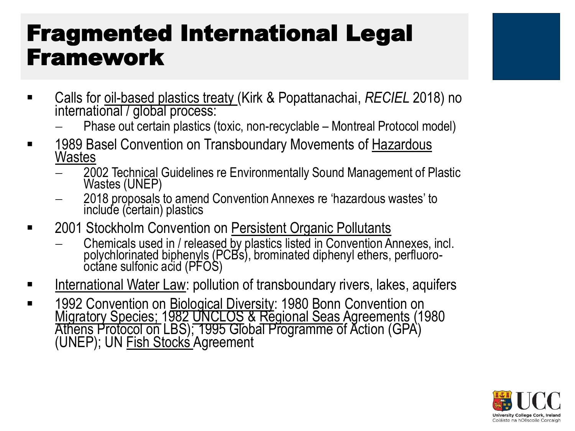### Fragmented International Legal Framework



- − Phase out certain plastics (toxic, non-recyclable Montreal Protocol model)
- 1989 Basel Convention on Transboundary Movements of Hazardous **Wastes** 
	- − 2002 Technical Guidelines re Environmentally Sound Management of Plastic Wastes (UNEP)
	- − 2018 proposals to amend Convention Annexes re 'hazardous wastes' to include (certain) plastics
- 2001 Stockholm Convention on Persistent Organic Pollutants
	- − Chemicals used in / released by plastics listed in Convention Annexes, incl. polychlorinated biphenyls (PCBs), brominated diphenyl ethers, perfluorooctane sulfonic acid (PFOS)
- International Water Law: pollution of transboundary rivers, lakes, aquifers
- **1992 Convention on Biological Diversity: 1980 Bonn Convention on** Migratory Species; 1982 UNCLOS & Regional Seas Agreements (1980 Athens Protocol on LBS); 1995 Global Programme of Action (GPA) (UNEP); UN Fish Stocks Agreement

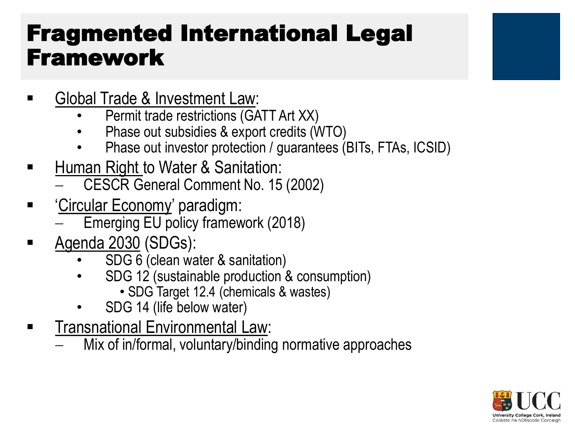### Fragmented International Legal Framework

- Global Trade & Investment Law:
	- Permit trade restrictions (GATT Art XX)
	- Phase out subsidies & export credits (WTO)
	- Phase out investor protection / guarantees (BITs, FTAs, ICSID)
- Human Right to Water & Sanitation:
	- − CESCR General Comment No. 15 (2002)
- **EXALGE 15 THE STANDER 15 THE STANDER ECONOMY** paradigm:
	- Emerging EU policy framework (2018)
- Agenda 2030 (SDGs):
	- SDG 6 (clean water & sanitation)
	- SDG 12 (sustainable production & consumption)
		- SDG Target 12.4 (chemicals & wastes)
	- SDG 14 (life below water)
- **EXECTE:** Transnational Environmental Law:
	- Mix of in/formal, voluntary/binding normative approaches

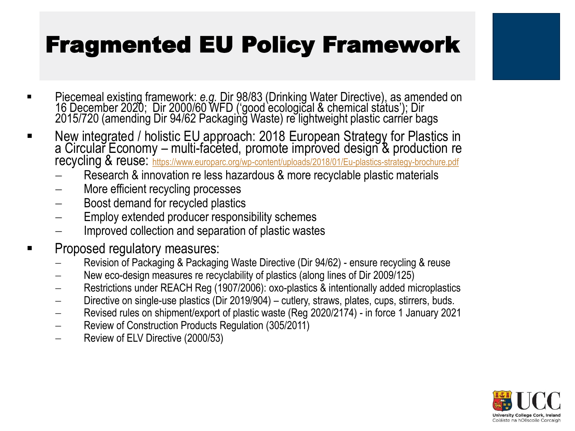### Fragmented EU Policy Framework

- Piecemeal existing framework: *e.g.* Dir 98/83 (Drinking Water Directive), as amended on 16 December 2020; Dir 2000/60 WFD ('good ecological & chemical status'); Dir 2015/720 (amending Dir 94/62 Packaging Waste) re lightweight plastic carrier bags
- New integrated / holistic EU approach: 2018 European Strategy for Plastics in a Circular Economy – multi-faceted, promote improved design & production re recycling & reuse: <https://www.europarc.org/wp-content/uploads/2018/01/Eu-plastics-strategy-brochure.pdf>
	- Research & innovation re less hazardous & more recyclable plastic materials
	- More efficient recycling processes
	- Boost demand for recycled plastics
	- Employ extended producer responsibility schemes
	- Improved collection and separation of plastic wastes
- Proposed regulatory measures:
	- − Revision of Packaging & Packaging Waste Directive (Dir 94/62) ensure recycling & reuse
	- − New eco-design measures re recyclability of plastics (along lines of Dir 2009/125)
	- − Restrictions under REACH Reg (1907/2006): oxo-plastics & intentionally added microplastics
	- − Directive on single-use plastics (Dir 2019/904) cutlery, straws, plates, cups, stirrers, buds.
	- − Revised rules on shipment/export of plastic waste (Reg 2020/2174) in force 1 January 2021
	- − Review of Construction Products Regulation (305/2011)
	- − Review of ELV Directive (2000/53)

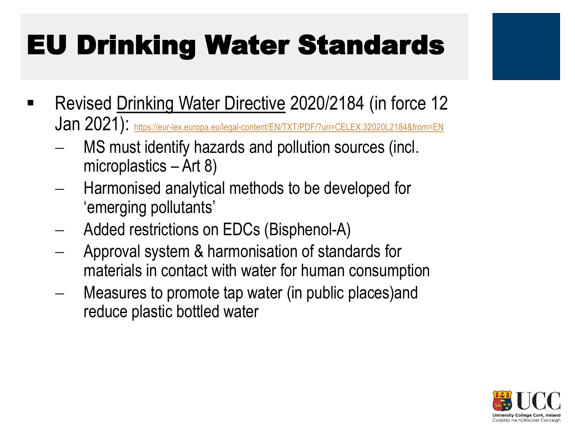# EU Drinking Water Standards

- Revised Drinking Water Directive 2020/2184 (in force 12 Jan 2021): <https://eur-lex.europa.eu/legal-content/EN/TXT/PDF/?uri=CELEX:32020L2184&from=EN>
	- − MS must identify hazards and pollution sources (incl. microplastics – Art 8)
	- − Harmonised analytical methods to be developed for 'emerging pollutants'
	- − Added restrictions on EDCs (Bisphenol-A)
	- − Approval system & harmonisation of standards for materials in contact with water for human consumption
	- Measures to promote tap water (in public places)and reduce plastic bottled water

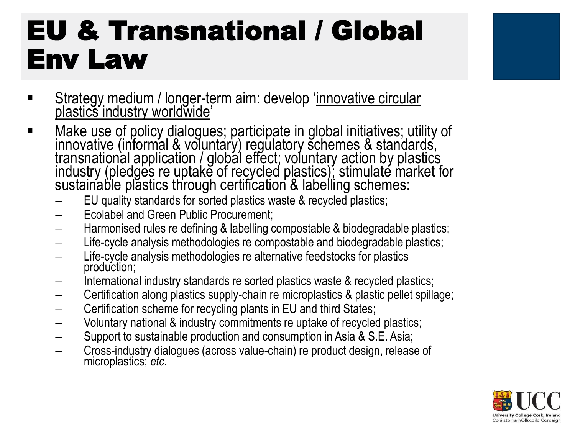# EU & Transnational / Global Env Law



- Make use of policy dialogues; participate in global initiatives; utility of innovative (informal & voluntary) regulatory schemes & standards, transnational application / global effect; voluntary action by plastics industry (pledges re uptake of recycled plastics); stimulate market for sustainable plastics through certification & labelling schemes:
	- EU quality standards for sorted plastics waste & recycled plastics;
	- − Ecolabel and Green Public Procurement;
	- − Harmonised rules re defining & labelling compostable & biodegradable plastics;
	- Life-cycle analysis methodologies re compostable and biodegradable plastics;
	- Life-cycle analysis methodologies re alternative feedstocks for plastics production;
	- International industry standards re sorted plastics waste & recycled plastics;
	- − Certification along plastics supply-chain re microplastics & plastic pellet spillage;
	- − Certification scheme for recycling plants in EU and third States;
	- − Voluntary national & industry commitments re uptake of recycled plastics;
	- − Support to sustainable production and consumption in Asia & S.E. Asia;
	- − Cross-industry dialogues (across value-chain) re product design, release of microplastics; *etc*.

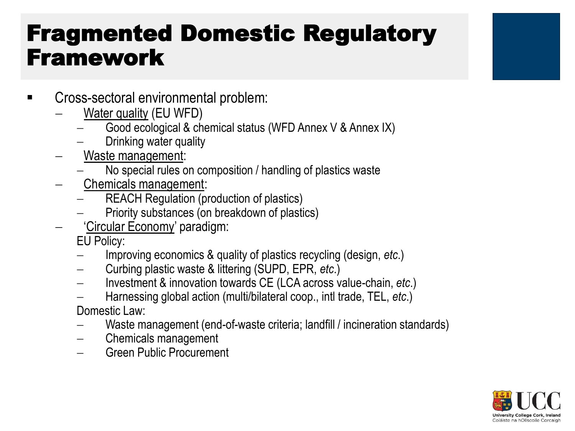#### Fragmented Domestic Regulatory Framework

- Cross-sectoral environmental problem:
	- − Water quality (EU WFD)
		- − Good ecological & chemical status (WFD Annex V & Annex IX)
		- Drinking water quality
	- − Waste management:
		- No special rules on composition / handling of plastics waste
	- − Chemicals management:
		- − REACH Regulation (production of plastics)
		- − Priority substances (on breakdown of plastics)
	- − 'Circular Economy' paradigm:
		- EU Policy:
		- − Improving economics & quality of plastics recycling (design, *etc*.)
		- − Curbing plastic waste & littering (SUPD, EPR, *etc*.)
		- − Investment & innovation towards CE (LCA across value-chain, *etc*.)
		- − Harnessing global action (multi/bilateral coop., intl trade, TEL, *etc*.)

Domestic Law:

- − Waste management (end-of-waste criteria; landfill / incineration standards)
- − Chemicals management
- − Green Public Procurement

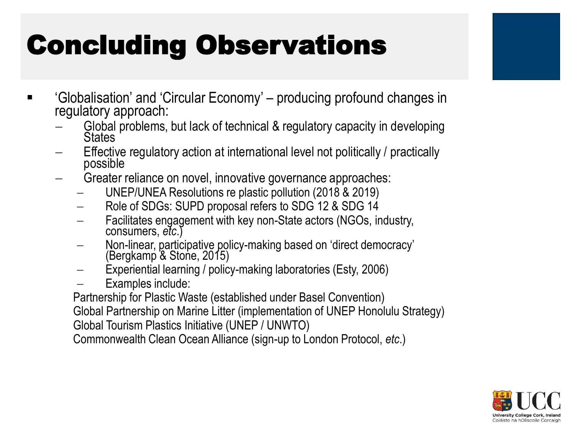# Concluding Observations

- Globalisation' and 'Circular Economy' producing profound changes in regulatory approach:
	- − Global problems, but lack of technical & regulatory capacity in developing **States**
	- Effective regulatory action at international level not politically / practically possible
	- Greater reliance on novel, innovative governance approaches:
		- − UNEP/UNEA Resolutions re plastic pollution (2018 & 2019)
		- − Role of SDGs: SUPD proposal refers to SDG 12 & SDG 14
		- Facilitates engagement with key non-State actors (NGOs, industry, consumers, *etc*.)
		- − Non-linear, participative policy-making based on 'direct democracy' (Bergkamp & Stone, 2015)
		- Experiential learning / policy-making laboratories (Esty, 2006)
		- − Examples include:

Partnership for Plastic Waste (established under Basel Convention)

Global Partnership on Marine Litter (implementation of UNEP Honolulu Strategy)

Global Tourism Plastics Initiative (UNEP / UNWTO)

Commonwealth Clean Ocean Alliance (sign-up to London Protocol, *etc*.)